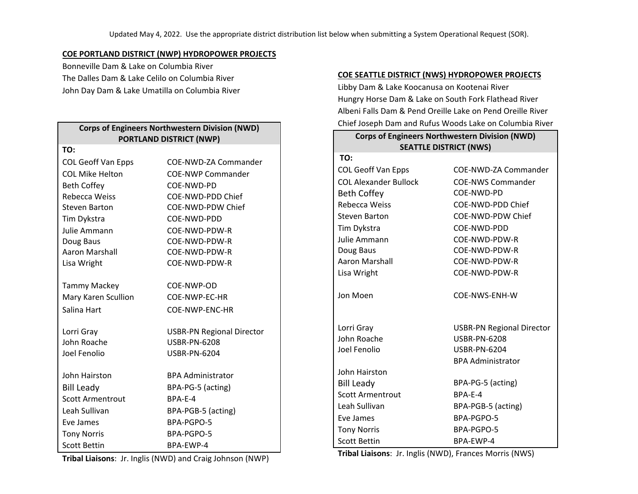### **COE PORTLAND DISTRICT (NWP) HYDROPOWER PROJECTS**

Bonneville Dam & Lake on Columbia River The Dalles Dam & Lake Celilo on Columbia River John Day Dam & Lake Umatilla on Columbia River

| <b>Corps of Engineers Northwestern Division (NWD)</b><br><b>PORTLAND DISTRICT (NWP)</b> |                                                         |  |
|-----------------------------------------------------------------------------------------|---------------------------------------------------------|--|
| TO:                                                                                     |                                                         |  |
| <b>COL Geoff Van Epps</b>                                                               | COE-NWD-ZA Commander                                    |  |
| <b>COL Mike Helton</b>                                                                  | <b>COE-NWP Commander</b>                                |  |
| <b>Beth Coffey</b>                                                                      | COE-NWD-PD                                              |  |
| Rebecca Weiss                                                                           | COE-NWD-PDD Chief                                       |  |
| <b>Steven Barton</b>                                                                    | COE-NWD-PDW Chief                                       |  |
| Tim Dykstra                                                                             | COE-NWD-PDD                                             |  |
| Julie Ammann                                                                            | COE-NWD-PDW-R                                           |  |
| Doug Baus                                                                               | COE-NWD-PDW-R                                           |  |
| Aaron Marshall                                                                          | COE-NWD-PDW-R                                           |  |
| Lisa Wright                                                                             | COE-NWD-PDW-R                                           |  |
|                                                                                         |                                                         |  |
| <b>Tammy Mackey</b>                                                                     | COE-NWP-OD                                              |  |
| Mary Karen Scullion                                                                     | COE-NWP-EC-HR                                           |  |
| Salina Hart                                                                             | COE-NWP-ENC-HR                                          |  |
|                                                                                         |                                                         |  |
| Lorri Gray<br>John Roache                                                               | <b>USBR-PN Regional Director</b><br><b>USBR-PN-6208</b> |  |
| Joel Fenolio                                                                            | <b>USBR-PN-6204</b>                                     |  |
|                                                                                         |                                                         |  |
| John Hairston                                                                           | <b>BPA Administrator</b>                                |  |
| <b>Bill Leady</b>                                                                       | BPA-PG-5 (acting)                                       |  |
| <b>Scott Armentrout</b>                                                                 | BPA-E-4                                                 |  |
| Leah Sullivan                                                                           | BPA-PGB-5 (acting)                                      |  |
| Eve James                                                                               | BPA-PGPO-5                                              |  |
| <b>Tony Norris</b>                                                                      | BPA-PGPO-5                                              |  |
| <b>Scott Bettin</b>                                                                     | BPA-EWP-4                                               |  |

#### **COE SEATTLE DISTRICT (NWS) HYDROPOWER PROJECTS**

Libby Dam & Lake Koocanusa on Kootenai River Hungry Horse Dam & Lake on South Fork Flathead River Albeni Falls Dam & Pend Oreille Lake on Pend Oreille River Chief Joseph Dam and Rufus Woods Lake on Columbia River

# **Corps of Engineers Northwestern Division (NWD) SEATTLE DISTRICT (NWS)**

| TO:                          |                                  |
|------------------------------|----------------------------------|
| COL Geoff Van Epps           | COE-NWD-ZA Commander             |
| <b>COL Alexander Bullock</b> | <b>COE-NWS Commander</b>         |
| <b>Beth Coffey</b>           | COE-NWD-PD                       |
| Rebecca Weiss                | COE-NWD-PDD Chief                |
| <b>Steven Barton</b>         | COE-NWD-PDW Chief                |
| Tim Dykstra                  | COE-NWD-PDD                      |
| Julie Ammann                 | COE-NWD-PDW-R                    |
| Doug Baus                    | COE-NWD-PDW-R                    |
| Aaron Marshall               | COE-NWD-PDW-R                    |
| Lisa Wright                  | COE-NWD-PDW-R                    |
| Jon Moen                     | COE-NWS-ENH-W                    |
| Lorri Gray                   | <b>USBR-PN Regional Director</b> |
| John Roache                  | <b>USBR-PN-6208</b>              |
| Joel Fenolio                 | <b>USBR-PN-6204</b>              |
|                              | <b>BPA Administrator</b>         |
| John Hairston                |                                  |
| <b>Bill Leady</b>            | BPA-PG-5 (acting)                |
| <b>Scott Armentrout</b>      | BPA-E-4                          |
| Leah Sullivan                | BPA-PGB-5 (acting)               |
| Eve James                    | BPA-PGPO-5                       |
| <b>Tony Norris</b>           | BPA-PGPO-5                       |
| <b>Scott Bettin</b>          | BPA-EWP-4                        |

**Tribal Liaisons**: Jr. Inglis (NWD), Frances Morris (NWS)

**Tribal Liaisons**: Jr. Inglis (NWD) and Craig Johnson (NWP)